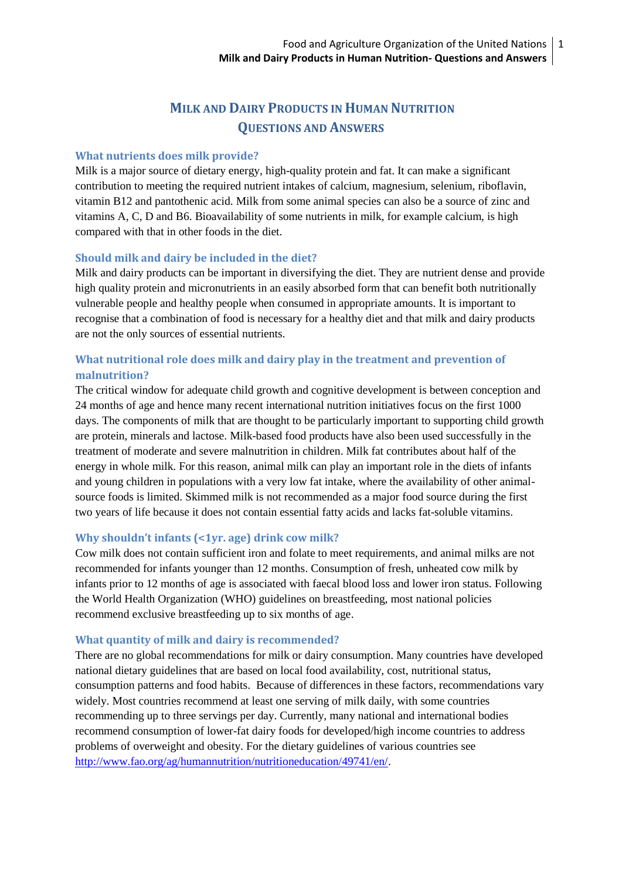# **MILK AND DAIRY PRODUCTS IN HUMAN NUTRITION QUESTIONS AND ANSWERS**

#### **What nutrients does milk provide?**

Milk is a major source of dietary energy, high-quality protein and fat. It can make a significant contribution to meeting the required nutrient intakes of calcium, magnesium, selenium, riboflavin, vitamin B12 and pantothenic acid. Milk from some animal species can also be a source of zinc and vitamins A, C, D and B6. Bioavailability of some nutrients in milk, for example calcium, is high compared with that in other foods in the diet.

#### **Should milk and dairy be included in the diet?**

Milk and dairy products can be important in diversifying the diet. They are nutrient dense and provide high quality protein and micronutrients in an easily absorbed form that can benefit both nutritionally vulnerable people and healthy people when consumed in appropriate amounts. It is important to recognise that a combination of food is necessary for a healthy diet and that milk and dairy products are not the only sources of essential nutrients.

# **What nutritional role does milk and dairy play in the treatment and prevention of malnutrition?**

The critical window for adequate child growth and cognitive development is between conception and 24 months of age and hence many recent international nutrition initiatives focus on the first 1000 days. The components of milk that are thought to be particularly important to supporting child growth are protein, minerals and lactose. Milk-based food products have also been used successfully in the treatment of moderate and severe malnutrition in children. Milk fat contributes about half of the energy in whole milk. For this reason, animal milk can play an important role in the diets of infants and young children in populations with a very low fat intake, where the availability of other animalsource foods is limited. Skimmed milk is not recommended as a major food source during the first two years of life because it does not contain essential fatty acids and lacks fat-soluble vitamins.

#### **Why shouldn't infants (<1yr. age) drink cow milk?**

Cow milk does not contain sufficient iron and folate to meet requirements, and animal milks are not recommended for infants younger than 12 months. Consumption of fresh, unheated cow milk by infants prior to 12 months of age is associated with faecal blood loss and lower iron status. Following the World Health Organization (WHO) guidelines on breastfeeding, most national policies recommend exclusive breastfeeding up to six months of age.

### **What quantity of milk and dairy is recommended?**

There are no global recommendations for milk or dairy consumption. Many countries have developed national dietary guidelines that are based on local food availability, cost, nutritional status, consumption patterns and food habits. Because of differences in these factors, recommendations vary widely. Most countries recommend at least one serving of milk daily, with some countries recommending up to three servings per day. Currently, many national and international bodies recommend consumption of lower-fat dairy foods for developed/high income countries to address problems of overweight and obesity. For the dietary guidelines of various countries see [http://www.fao.org/ag/humannutrition/nutritioneducation/49741/en/.](http://www.fao.org/ag/humannutrition/nutritioneducation/49741/en/)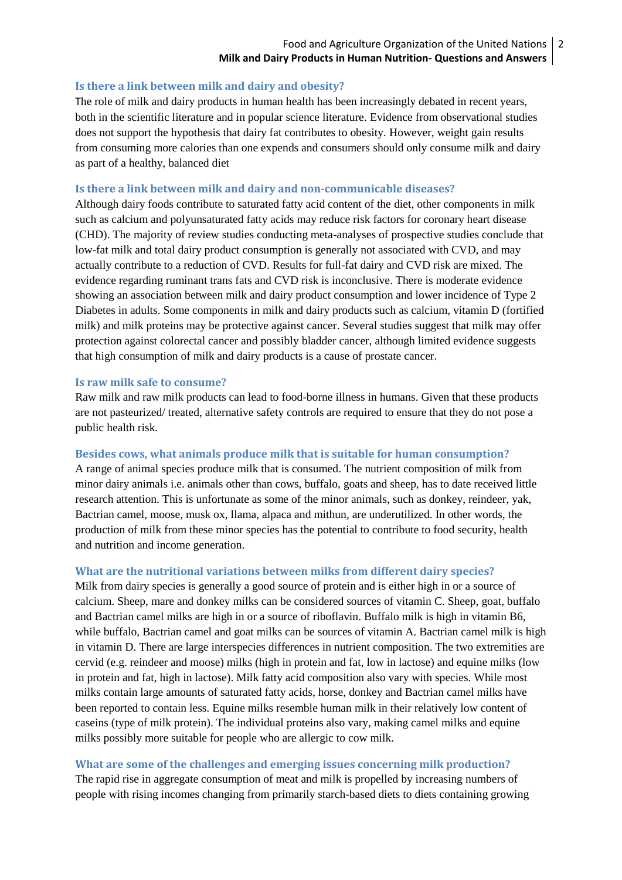#### **Is there a link between milk and dairy and obesity?**

The role of milk and dairy products in human health has been increasingly debated in recent years, both in the scientific literature and in popular science literature. Evidence from observational studies does not support the hypothesis that dairy fat contributes to obesity. However, weight gain results from consuming more calories than one expends and consumers should only consume milk and dairy as part of a healthy, balanced diet

#### **Is there a link between milk and dairy and non-communicable diseases?**

Although dairy foods contribute to saturated fatty acid content of the diet, other components in milk such as calcium and polyunsaturated fatty acids may reduce risk factors for coronary heart disease (CHD). The majority of review studies conducting meta-analyses of prospective studies conclude that low-fat milk and total dairy product consumption is generally not associated with CVD, and may actually contribute to a reduction of CVD. Results for full-fat dairy and CVD risk are mixed. The evidence regarding ruminant trans fats and CVD risk is inconclusive. There is moderate evidence showing an association between milk and dairy product consumption and lower incidence of Type 2 Diabetes in adults. Some components in milk and dairy products such as calcium, vitamin D (fortified milk) and milk proteins may be protective against cancer. Several studies suggest that milk may offer protection against colorectal cancer and possibly bladder cancer, although limited evidence suggests that high consumption of milk and dairy products is a cause of prostate cancer.

#### **Is raw milk safe to consume?**

Raw milk and raw milk products can lead to food-borne illness in humans. Given that these products are not pasteurized/ treated, alternative safety controls are required to ensure that they do not pose a public health risk.

#### **Besides cows, what animals produce milk that is suitable for human consumption?**

A range of animal species produce milk that is consumed. The nutrient composition of milk from minor dairy animals i.e. animals other than cows, buffalo, goats and sheep, has to date received little research attention. This is unfortunate as some of the minor animals, such as donkey, reindeer, yak, Bactrian camel, moose, musk ox, llama, alpaca and mithun, are underutilized. In other words, the production of milk from these minor species has the potential to contribute to food security, health and nutrition and income generation.

#### **What are the nutritional variations between milks from different dairy species?**

Milk from dairy species is generally a good source of protein and is either high in or a source of calcium. Sheep, mare and donkey milks can be considered sources of vitamin C. Sheep, goat, buffalo and Bactrian camel milks are high in or a source of riboflavin. Buffalo milk is high in vitamin B6, while buffalo, Bactrian camel and goat milks can be sources of vitamin A. Bactrian camel milk is high in vitamin D. There are large interspecies differences in nutrient composition. The two extremities are cervid (e.g. reindeer and moose) milks (high in protein and fat, low in lactose) and equine milks (low in protein and fat, high in lactose). Milk fatty acid composition also vary with species. While most milks contain large amounts of saturated fatty acids, horse, donkey and Bactrian camel milks have been reported to contain less. Equine milks resemble human milk in their relatively low content of caseins (type of milk protein). The individual proteins also vary, making camel milks and equine milks possibly more suitable for people who are allergic to cow milk.

#### **What are some of the challenges and emerging issues concerning milk production?**

The rapid rise in aggregate consumption of meat and milk is propelled by increasing numbers of people with rising incomes changing from primarily starch-based diets to diets containing growing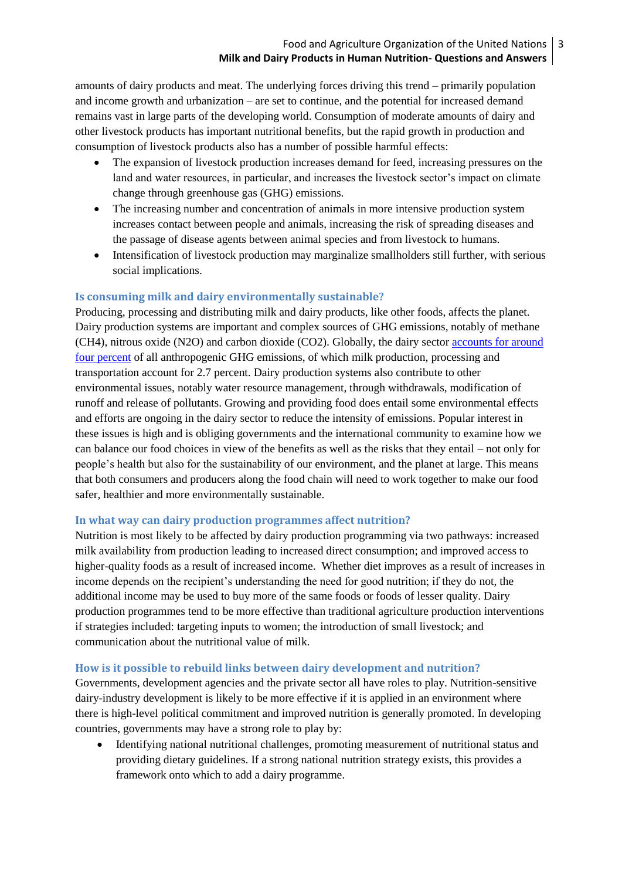amounts of dairy products and meat. The underlying forces driving this trend – primarily population and income growth and urbanization – are set to continue, and the potential for increased demand remains vast in large parts of the developing world. Consumption of moderate amounts of dairy and other livestock products has important nutritional benefits, but the rapid growth in production and consumption of livestock products also has a number of possible harmful effects:

- The expansion of livestock production increases demand for feed, increasing pressures on the land and water resources, in particular, and increases the livestock sector's impact on climate change through greenhouse gas (GHG) emissions.
- The increasing number and concentration of animals in more intensive production system increases contact between people and animals, increasing the risk of spreading diseases and the passage of disease agents between animal species and from livestock to humans.
- Intensification of livestock production may marginalize smallholders still further, with serious social implications.

# **Is consuming milk and dairy environmentally sustainable?**

Producing, processing and distributing milk and dairy products, like other foods, affects the planet. Dairy production systems are important and complex sources of GHG emissions, notably of methane (CH4), nitrous oxide (N2O) and carbon dioxide (CO2). Globally, the dairy sector [accounts for around](http://www.fao.org/news/story/en/item/41348/icode/)  [four percent](http://www.fao.org/news/story/en/item/41348/icode/) of all anthropogenic GHG emissions, of which milk production, processing and transportation account for 2.7 percent. Dairy production systems also contribute to other environmental issues, notably water resource management, through withdrawals, modification of runoff and release of pollutants. Growing and providing food does entail some environmental effects and efforts are ongoing in the dairy sector to reduce the intensity of emissions. Popular interest in these issues is high and is obliging governments and the international community to examine how we can balance our food choices in view of the benefits as well as the risks that they entail – not only for people's health but also for the sustainability of our environment, and the planet at large. This means that both consumers and producers along the food chain will need to work together to make our food safer, healthier and more environmentally sustainable.

## **In what way can dairy production programmes affect nutrition?**

Nutrition is most likely to be affected by dairy production programming via two pathways: increased milk availability from production leading to increased direct consumption; and improved access to higher-quality foods as a result of increased income. Whether diet improves as a result of increases in income depends on the recipient's understanding the need for good nutrition; if they do not, the additional income may be used to buy more of the same foods or foods of lesser quality. Dairy production programmes tend to be more effective than traditional agriculture production interventions if strategies included: targeting inputs to women; the introduction of small livestock; and communication about the nutritional value of milk.

## **How is it possible to rebuild links between dairy development and nutrition?**

Governments, development agencies and the private sector all have roles to play. Nutrition-sensitive dairy-industry development is likely to be more effective if it is applied in an environment where there is high-level political commitment and improved nutrition is generally promoted. In developing countries, governments may have a strong role to play by:

 Identifying national nutritional challenges, promoting measurement of nutritional status and providing dietary guidelines. If a strong national nutrition strategy exists, this provides a framework onto which to add a dairy programme.